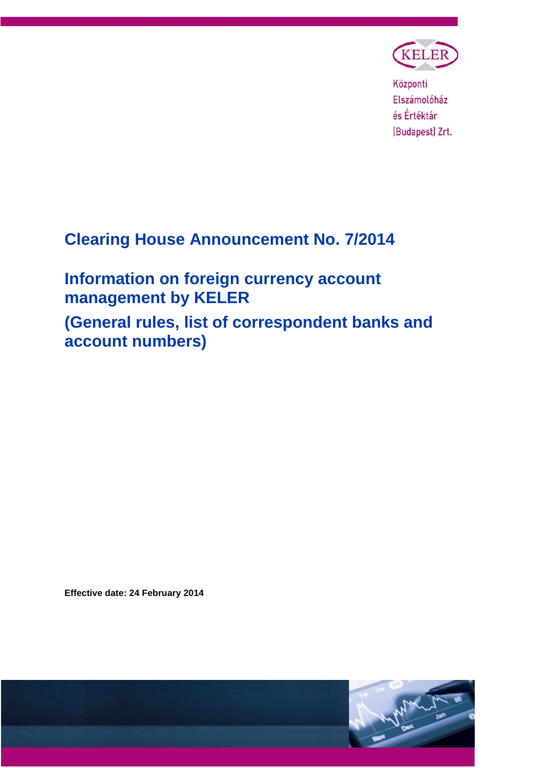

Központi Elszámolóház és Értéktár (Budapest) Zrt.

# **Clearing House Announcement No. 7/2014**

**Information on foreign currency account management by KELER (General rules, list of correspondent banks and account numbers)**

**Effective date: 24 February 2014**

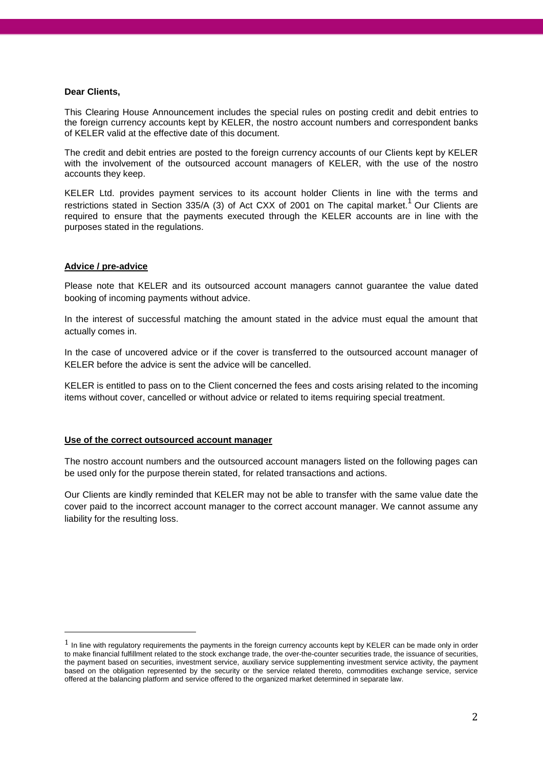#### **Dear Clients,**

This Clearing House Announcement includes the special rules on posting credit and debit entries to the foreign currency accounts kept by KELER, the nostro account numbers and correspondent banks of KELER valid at the effective date of this document.

The credit and debit entries are posted to the foreign currency accounts of our Clients kept by KELER with the involvement of the outsourced account managers of KELER, with the use of the nostro accounts they keep.

KELER Ltd. provides payment services to its account holder Clients in line with the terms and restrictions stated in Section 335/A (3) of Act CXX of 2001 on The capital market.<sup>1</sup> Our Clients are required to ensure that the payments executed through the KELER accounts are in line with the purposes stated in the regulations.

### **Advice / pre-advice**

<u>.</u>

Please note that KELER and its outsourced account managers cannot guarantee the value dated booking of incoming payments without advice.

In the interest of successful matching the amount stated in the advice must equal the amount that actually comes in.

In the case of uncovered advice or if the cover is transferred to the outsourced account manager of KELER before the advice is sent the advice will be cancelled.

KELER is entitled to pass on to the Client concerned the fees and costs arising related to the incoming items without cover, cancelled or without advice or related to items requiring special treatment.

#### **Use of the correct outsourced account manager**

The nostro account numbers and the outsourced account managers listed on the following pages can be used only for the purpose therein stated, for related transactions and actions.

Our Clients are kindly reminded that KELER may not be able to transfer with the same value date the cover paid to the incorrect account manager to the correct account manager. We cannot assume any liability for the resulting loss.

 $1$  In line with regulatory requirements the payments in the foreign currency accounts kept by KELER can be made only in order to make financial fulfillment related to the stock exchange trade, the over-the-counter securities trade, the issuance of securities, the payment based on securities, investment service, auxiliary service supplementing investment service activity, the payment based on the obligation represented by the security or the service related thereto, commodities exchange service, service offered at the balancing platform and service offered to the organized market determined in separate law.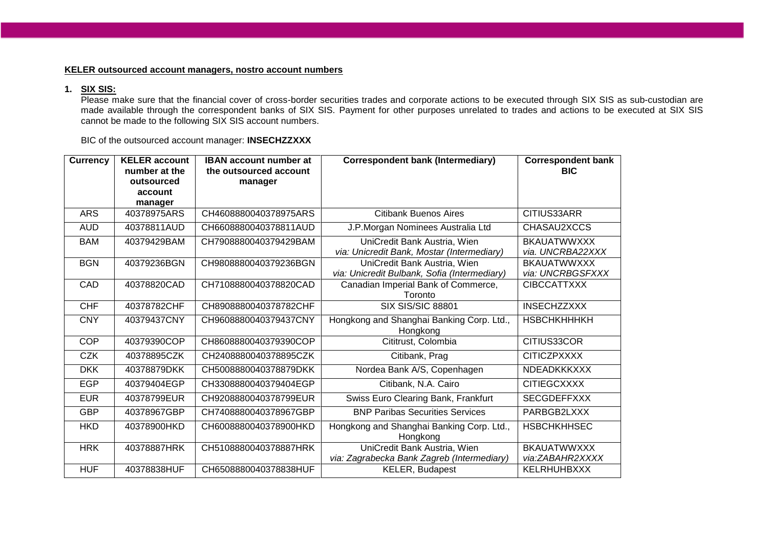## **KELER outsourced account managers, nostro account numbers**

# **1. SIX SIS:**

Please make sure that the financial cover of cross-border securities trades and corporate actions to be executed through SIX SIS as sub-custodian are made available through the correspondent banks of SIX SIS. Payment for other purposes unrelated to trades and actions to be executed at SIX SIS cannot be made to the following SIX SIS account numbers.

BIC of the outsourced account manager: **INSECHZZXXX**

| <b>Currency</b> | <b>KELER</b> account<br>number at the | <b>IBAN account number at</b><br>the outsourced account | <b>Correspondent bank (Intermediary)</b>       | <b>Correspondent bank</b><br><b>BIC</b> |
|-----------------|---------------------------------------|---------------------------------------------------------|------------------------------------------------|-----------------------------------------|
|                 | outsourced                            | manager                                                 |                                                |                                         |
|                 | account                               |                                                         |                                                |                                         |
|                 | manager                               |                                                         |                                                |                                         |
| <b>ARS</b>      | 40378975ARS                           | CH4608880040378975ARS                                   | <b>Citibank Buenos Aires</b>                   | CITIUS33ARR                             |
| <b>AUD</b>      | 40378811AUD                           | CH6608880040378811AUD                                   | J.P.Morgan Nominees Australia Ltd              | CHASAU2XCCS                             |
| <b>BAM</b>      | 40379429BAM                           | CH7908880040379429BAM                                   | UniCredit Bank Austria, Wien                   | <b>BKAUATWWXXX</b>                      |
|                 |                                       |                                                         | via: Unicredit Bank, Mostar (Intermediary)     | via. UNCRBA22XXX                        |
| <b>BGN</b>      | 40379236BGN                           | CH9808880040379236BGN                                   | UniCredit Bank Austria, Wien                   | <b>BKAUATWWXXX</b><br>via: UNCRBGSFXXX  |
| CAD             | 40378820CAD                           | CH7108880040378820CAD                                   | via: Unicredit Bulbank, Sofia (Intermediary)   | <b>CIBCCATTXXX</b>                      |
|                 |                                       |                                                         | Canadian Imperial Bank of Commerce,<br>Toronto |                                         |
| <b>CHF</b>      | 40378782CHF                           | CH8908880040378782CHF                                   | <b>SIX SIS/SIC 88801</b>                       | <b>INSECHZZXXX</b>                      |
| <b>CNY</b>      | 40379437CNY                           | CH9608880040379437CNY                                   | Hongkong and Shanghai Banking Corp. Ltd.,      | <b>HSBCHKHHHKH</b>                      |
|                 |                                       |                                                         | Hongkong                                       |                                         |
| <b>COP</b>      | 40379390COP                           | CH8608880040379390COP                                   | Cititrust, Colombia                            | CITIUS33COR                             |
| <b>CZK</b>      | 40378895CZK                           | CH2408880040378895CZK                                   | Citibank, Prag                                 | <b>CITICZPXXXX</b>                      |
| <b>DKK</b>      | 40378879DKK                           | CH5008880040378879DKK                                   | Nordea Bank A/S, Copenhagen                    | <b>NDEADKKKXXX</b>                      |
| <b>EGP</b>      | 40379404EGP                           | CH3308880040379404EGP                                   | Citibank, N.A. Cairo                           | <b>CITIEGCXXXX</b>                      |
| <b>EUR</b>      | 40378799EUR                           | CH9208880040378799EUR                                   | Swiss Euro Clearing Bank, Frankfurt            | <b>SECGDEFFXXX</b>                      |
| <b>GBP</b>      | 40378967GBP                           | CH7408880040378967GBP                                   | <b>BNP Paribas Securities Services</b>         | PARBGB2LXXX                             |
| <b>HKD</b>      | 40378900HKD                           | CH6008880040378900HKD                                   | Hongkong and Shanghai Banking Corp. Ltd.,      | <b>HSBCHKHHSEC</b>                      |
|                 |                                       |                                                         | Hongkong                                       |                                         |
| <b>HRK</b>      | 40378887HRK                           | CH5108880040378887HRK                                   | UniCredit Bank Austria, Wien                   | <b>BKAUATWWXXX</b>                      |
|                 |                                       |                                                         | via: Zagrabecka Bank Zagreb (Intermediary)     | via:ZABAHR2XXXX                         |
| <b>HUF</b>      | 40378838HUF                           | CH6508880040378838HUF                                   | <b>KELER, Budapest</b>                         | KELRHUHBXXX                             |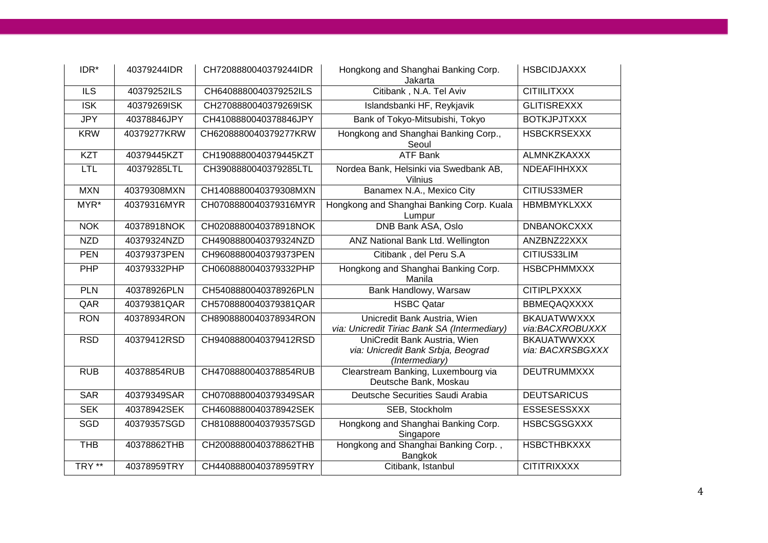| IDR*                     | 40379244IDR | CH7208880040379244IDR | Hongkong and Shanghai Banking Corp.<br>Jakarta                                       | <b>HSBCIDJAXXX</b>                     |
|--------------------------|-------------|-----------------------|--------------------------------------------------------------------------------------|----------------------------------------|
| $\overline{\mathbb{LS}}$ | 40379252ILS | CH6408880040379252ILS | Citibank, N.A. Tel Aviv                                                              | <b>CITIILITXXX</b>                     |
| $\overline{\text{ISK}}$  | 40379269ISK | CH2708880040379269ISK | Islandsbanki HF, Reykjavik                                                           | <b>GLITISREXXX</b>                     |
| <b>JPY</b>               | 40378846JPY | CH4108880040378846JPY | Bank of Tokyo-Mitsubishi, Tokyo                                                      | <b>BOTKJPJTXXX</b>                     |
| <b>KRW</b>               | 40379277KRW | CH6208880040379277KRW | Hongkong and Shanghai Banking Corp.,<br>Seoul                                        | <b>HSBCKRSEXXX</b>                     |
| <b>KZT</b>               | 40379445KZT | CH1908880040379445KZT | <b>ATF Bank</b>                                                                      | <b>ALMNKZKAXXX</b>                     |
| <b>LTL</b>               | 40379285LTL | CH3908880040379285LTL | Nordea Bank, Helsinki via Swedbank AB,<br>Vilnius                                    | NDEAFIHHXXX                            |
| <b>MXN</b>               | 40379308MXN | CH1408880040379308MXN | Banamex N.A., Mexico City                                                            | CITIUS33MER                            |
| MYR*                     | 40379316MYR | CH0708880040379316MYR | Hongkong and Shanghai Banking Corp. Kuala<br>Lumpur                                  | <b>HBMBMYKLXXX</b>                     |
| <b>NOK</b>               | 40378918NOK | CH0208880040378918NOK | DNB Bank ASA, Oslo                                                                   | <b>DNBANOKCXXX</b>                     |
| <b>NZD</b>               | 40379324NZD | CH4908880040379324NZD | ANZ National Bank Ltd. Wellington                                                    | ANZBNZ22XXX                            |
| <b>PEN</b>               | 40379373PEN | CH9608880040379373PEN | Citibank, del Peru S.A                                                               | CITIUS33LIM                            |
| PHP                      | 40379332PHP | CH0608880040379332PHP | Hongkong and Shanghai Banking Corp.<br>Manila                                        | <b>HSBCPHMMXXX</b>                     |
| PLN                      | 40378926PLN | CH5408880040378926PLN | Bank Handlowy, Warsaw                                                                | <b>CITIPLPXXXX</b>                     |
| QAR                      | 40379381QAR | CH5708880040379381QAR | <b>HSBC Qatar</b>                                                                    | <b>BBMEQAQXXXX</b>                     |
| <b>RON</b>               | 40378934RON | CH8908880040378934RON | Unicredit Bank Austria, Wien<br>via: Unicredit Tiriac Bank SA (Intermediary)         | <b>BKAUATWWXXX</b><br>via:BACXROBUXXX  |
| <b>RSD</b>               | 40379412RSD | CH9408880040379412RSD | UniCredit Bank Austria, Wien<br>via: Unicredit Bank Srbja, Beograd<br>(Intermediary) | <b>BKAUATWWXXX</b><br>via: BACXRSBGXXX |
| <b>RUB</b>               | 40378854RUB | CH4708880040378854RUB | Clearstream Banking, Luxembourg via<br>Deutsche Bank, Moskau                         | <b>DEUTRUMMXXX</b>                     |
| <b>SAR</b>               | 40379349SAR | CH0708880040379349SAR | Deutsche Securities Saudi Arabia                                                     | <b>DEUTSARICUS</b>                     |
| <b>SEK</b>               | 40378942SEK | CH4608880040378942SEK | SEB, Stockholm                                                                       | <b>ESSESESSXXX</b>                     |
| SGD                      | 40379357SGD | CH8108880040379357SGD | Hongkong and Shanghai Banking Corp.<br>Singapore                                     | <b>HSBCSGSGXXX</b>                     |
| <b>THB</b>               | 40378862THB | CH2008880040378862THB | Hongkong and Shanghai Banking Corp.,<br><b>Bangkok</b>                               | <b>HSBCTHBKXXX</b>                     |
| TRY <sup>**</sup>        | 40378959TRY | CH4408880040378959TRY | Citibank, Istanbul                                                                   | <b>CITITRIXXXX</b>                     |